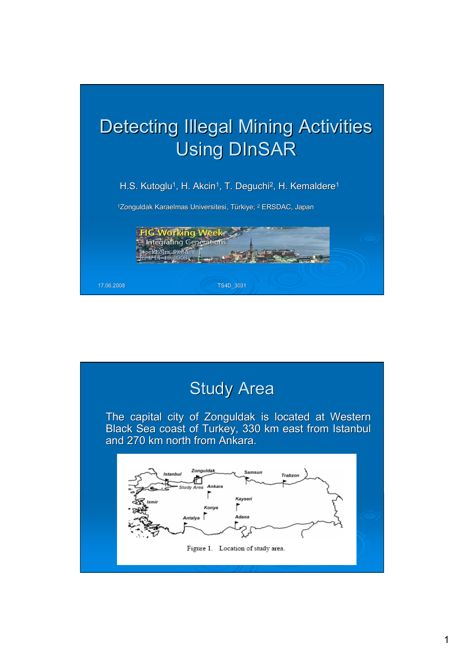

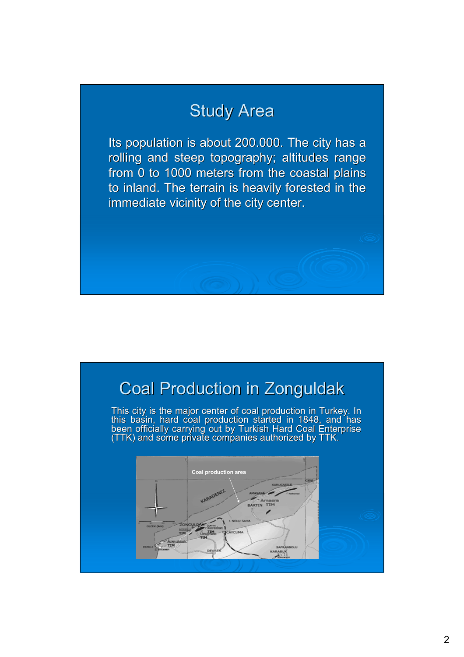# Study Area

Its population is about 200.000. The city has a rolling and steep topography; altitudes range from 0 to 1000 meters from the coastal plains to inland. The terrain is heavily forested in the immediate vicinity of the city center.

# **Coal Production in Zonguldak**

This city is the major center of coal production in Turkey. In this basin, hard coal production started in 1848, and has been officially carrying out by Turkish Hard Coal Enterprise (TTK) and some private companies authorized by TTK.

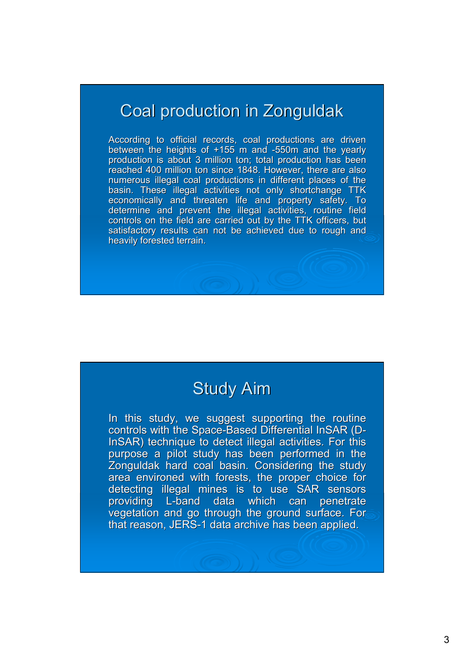# Coal production in Zonguldak

According to official records, coal productions are driven between the heights of  $+155$  m and -550m and the yearly production is about 3 million ton; total production has been reached 400 million ton since 1848. However, there are also numerous illegal coal productions in different places of the basin. These illegal activities not only shortchange TTK economically and threaten life and property safety. To determine and prevent the illegal activities, routine field controls on the field are carried out by the TTK officers, but satisfactory results can not be achieved due to rough and heavily forested terrain.

#### Study Aim

In this study, we suggest supporting the routine controls with the Space-Based Differential InSAR (D-InSAR) technique to detect illegal activities. For this purpose a pilot study has been performed in the Zonguldak hard coal basin. Considering the study area environed with forests, the proper choice for detecting illegal mines is to use SAR sensors providing L-band data which can penetrate vegetation and go through the ground surface. For that reason, JERS-1 data archive has been applied.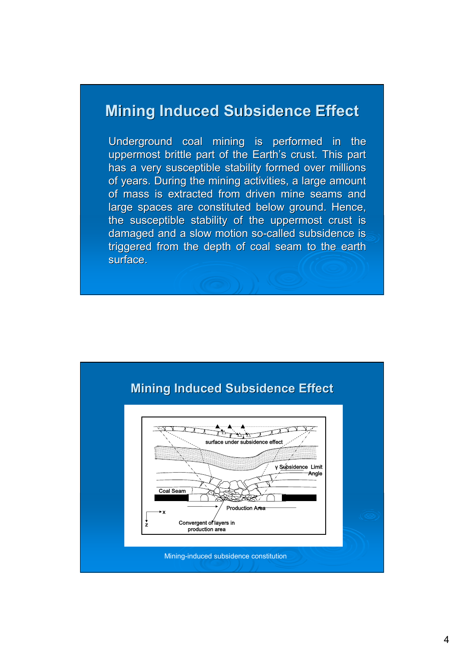#### **Mining Induced Subsidence Effect**

Underground coal mining is performed in the uppermost brittle part of the Earth's crust. This part has a very susceptible stability formed over millions of years. During the mining activities, a large amount of mass is extracted from driven mine seams and large spaces are constituted below ground. Hence, the susceptible stability of the uppermost crust is damaged and a slow motion so-called subsidence is triggered from the depth of coal seam to the earth surface.

![](_page_3_Figure_2.jpeg)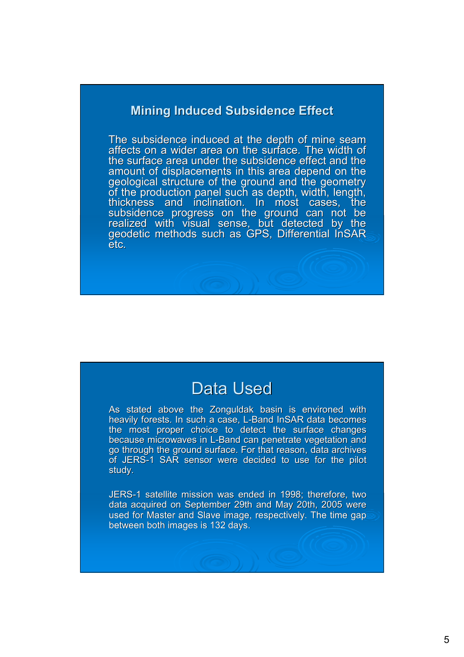#### **Mining Induced Subsidence Effect**

The subsidence induced at the depth of mine seam affects on a wider area on the surface. The width of the surface area under the subsidence effect and the amount of displacements in this area depend on the geological structure of the ground and the geometry of the production panel such as depth, width, length, thickness and inclination. In most cases, the subsidence progress on the ground can not be realized with visual sense, but detected by the<br>geodetic methods such as GPS, Differential InSAR etc.

#### Data Used

As stated above the Zonguldak basin is environed with heavily forests. In such a case, L-Band InSAR data becomes the most proper choice to detect the surface changes because microwaves in L-Band can penetrate vegetation and go through the ground surface. For that reason, data archives of JERS-1 SAR sensor were decided to use for the pilot study.

JERS-1 satellite mission was ended in 1998; therefore, two data acquired on September 29th and May 20th, 2005 were used for Master and Slave image, respectively. The time gap between both images is 132 days.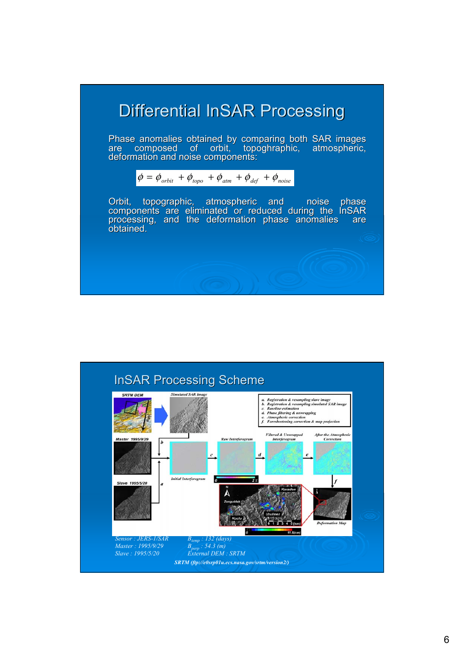# Differential InSAR Processing

Phase anomalies obtained by comparing both SAR images are composed of orbit, topoghraphic, atmospheric,<br>deformation<code>and</code> noise components:

![](_page_5_Picture_2.jpeg)

Orbit, topographic, atmospheric and noise phase components are eliminated or reduced during the InSAR<br>processing, and the deformation phase anomalies are processing, and the deformation phase anomalies obtained.

![](_page_5_Figure_4.jpeg)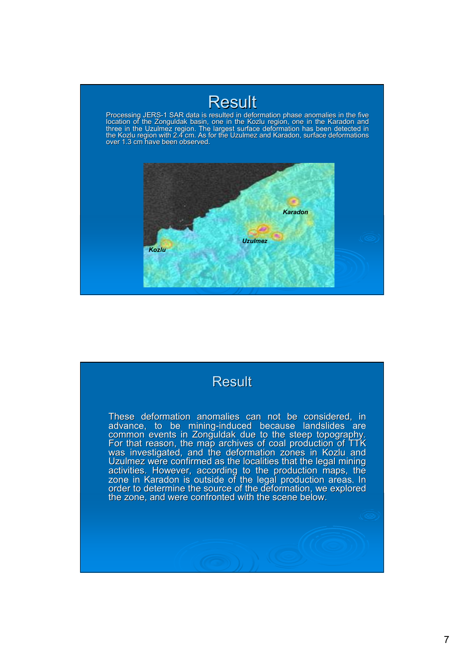### **Result**

Processing JERS-1 SAR data is resulted in deformation phase anomalies in the five<br>location of the Zonguldak basin, one in the Kozlu region, one in the Karadon and three in the Uzulmez region. The largest surface deformation has been detected in<br>the Kozlu region with 2.4 cm. As for the Uzulmez and Karadon, surface deformations over 1.3 cm have been observed.

![](_page_6_Figure_2.jpeg)

![](_page_6_Picture_3.jpeg)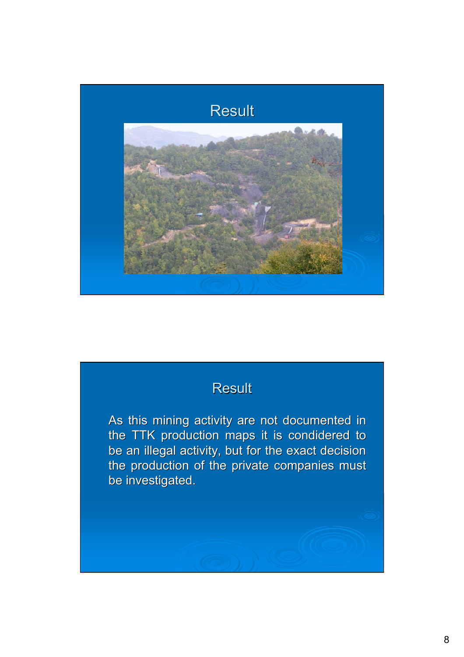![](_page_7_Picture_0.jpeg)

#### **Result**

As this mining activity are not documented in the TTK production maps it is condidered to be an illegal activity, but for the exact decision the production of the private companies must be investigated.